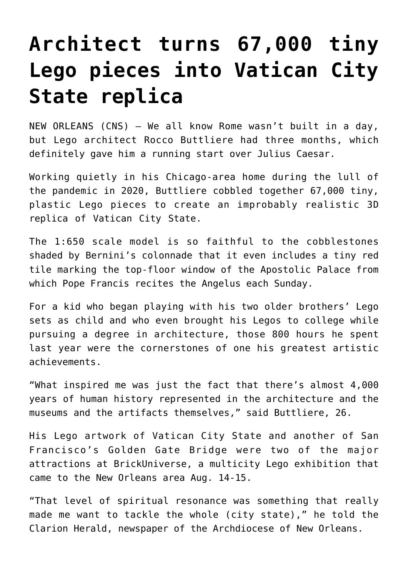## **[Architect turns 67,000 tiny](https://www.osvnews.com/2021/09/17/architect-turns-67000-tiny-lego-pieces-into-vatican-city-state-replica/) [Lego pieces into Vatican City](https://www.osvnews.com/2021/09/17/architect-turns-67000-tiny-lego-pieces-into-vatican-city-state-replica/) [State replica](https://www.osvnews.com/2021/09/17/architect-turns-67000-tiny-lego-pieces-into-vatican-city-state-replica/)**

NEW ORLEANS (CNS) — We all know Rome wasn't built in a day, but Lego architect Rocco Buttliere had three months, which definitely gave him a running start over Julius Caesar.

Working quietly in his Chicago-area home during the lull of the pandemic in 2020, Buttliere cobbled together 67,000 tiny, plastic Lego pieces to create an improbably realistic 3D replica of Vatican City State.

The 1:650 scale model is so faithful to the cobblestones shaded by Bernini's colonnade that it even includes a tiny red tile marking the top-floor window of the Apostolic Palace from which Pope Francis recites the Angelus each Sunday.

For a kid who began playing with his two older brothers' Lego sets as child and who even brought his Legos to college while pursuing a degree in architecture, those 800 hours he spent last year were the cornerstones of one his greatest artistic achievements.

"What inspired me was just the fact that there's almost 4,000 years of human history represented in the architecture and the museums and the artifacts themselves," said Buttliere, 26.

His Lego artwork of Vatican City State and another of San Francisco's Golden Gate Bridge were two of the major attractions at BrickUniverse, a multicity Lego exhibition that came to the New Orleans area Aug. 14-15.

"That level of spiritual resonance was something that really made me want to tackle the whole (city state)," he told the Clarion Herald, newspaper of the Archdiocese of New Orleans.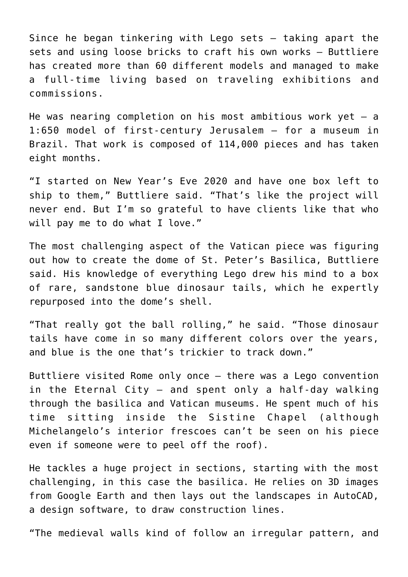Since he began tinkering with Lego sets — taking apart the sets and using loose bricks to craft his own works — Buttliere has created more than 60 different models and managed to make a full-time living based on traveling exhibitions and commissions.

He was nearing completion on his most ambitious work yet  $-$  a 1:650 model of first-century Jerusalem — for a museum in Brazil. That work is composed of 114,000 pieces and has taken eight months.

"I started on New Year's Eve 2020 and have one box left to ship to them," Buttliere said. "That's like the project will never end. But I'm so grateful to have clients like that who will pay me to do what I love."

The most challenging aspect of the Vatican piece was figuring out how to create the dome of St. Peter's Basilica, Buttliere said. His knowledge of everything Lego drew his mind to a box of rare, sandstone blue dinosaur tails, which he expertly repurposed into the dome's shell.

"That really got the ball rolling," he said. "Those dinosaur tails have come in so many different colors over the years, and blue is the one that's trickier to track down."

Buttliere visited Rome only once — there was a Lego convention in the Eternal City — and spent only a half-day walking through the basilica and Vatican museums. He spent much of his time sitting inside the Sistine Chapel (although Michelangelo's interior frescoes can't be seen on his piece even if someone were to peel off the roof).

He tackles a huge project in sections, starting with the most challenging, in this case the basilica. He relies on 3D images from Google Earth and then lays out the landscapes in AutoCAD, a design software, to draw construction lines.

"The medieval walls kind of follow an irregular pattern, and